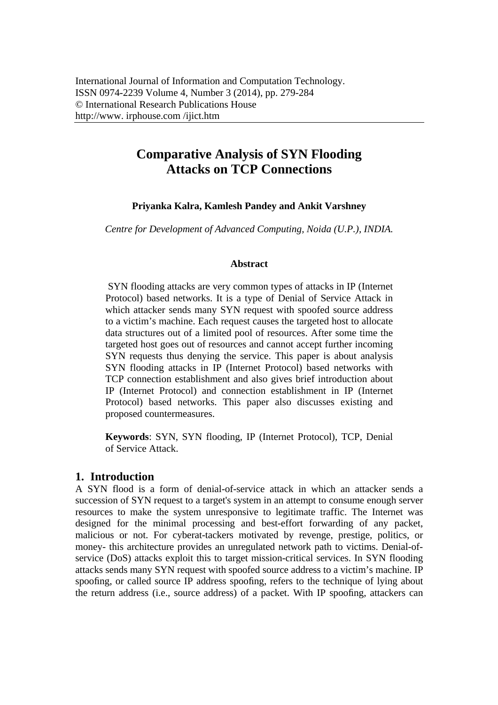# **Comparative Analysis of SYN Flooding Attacks on TCP Connections**

# **Priyanka Kalra, Kamlesh Pandey and Ankit Varshney**

*Centre for Development of Advanced Computing, Noida (U.P.), INDIA.* 

## **Abstract**

 SYN flooding attacks are very common types of attacks in IP (Internet Protocol) based networks. It is a type of Denial of Service Attack in which attacker sends many SYN request with spoofed source address to a victim's machine. Each request causes the targeted host to allocate data structures out of a limited pool of resources. After some time the targeted host goes out of resources and cannot accept further incoming SYN requests thus denying the service. This paper is about analysis SYN flooding attacks in IP (Internet Protocol) based networks with TCP connection establishment and also gives brief introduction about IP (Internet Protocol) and connection establishment in IP (Internet Protocol) based networks. This paper also discusses existing and proposed countermeasures.

**Keywords**: SYN, SYN flooding, IP (Internet Protocol), TCP, Denial of Service Attack.

# **1. Introduction**

A SYN flood is a form of denial-of-service attack in which an attacker sends a succession of SYN request to a target's system in an attempt to consume enough server resources to make the system unresponsive to legitimate traffic. The Internet was designed for the minimal processing and best-effort forwarding of any packet, malicious or not. For cyberat-tackers motivated by revenge, prestige, politics, or money- this architecture provides an unregulated network path to victims. Denial-ofservice (DoS) attacks exploit this to target mission-critical services. In SYN flooding attacks sends many SYN request with spoofed source address to a victim's machine. IP spoofing, or called source IP address spoofing, refers to the technique of lying about the return address (i.e., source address) of a packet. With IP spoofing, attackers can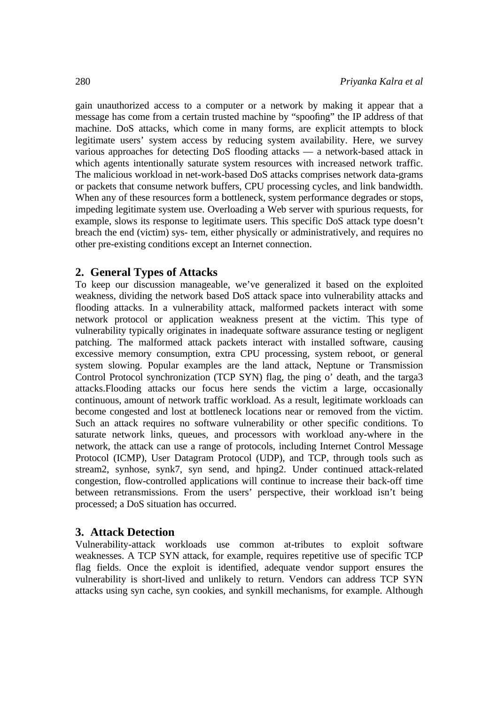gain unauthorized access to a computer or a network by making it appear that a message has come from a certain trusted machine by "spoofing" the IP address of that machine. DoS attacks, which come in many forms, are explicit attempts to block legitimate users' system access by reducing system availability. Here, we survey various approaches for detecting DoS flooding attacks — a network-based attack in which agents intentionally saturate system resources with increased network traffic. The malicious workload in net-work-based DoS attacks comprises network data-grams or packets that consume network buffers, CPU processing cycles, and link bandwidth. When any of these resources form a bottleneck, system performance degrades or stops, impeding legitimate system use. Overloading a Web server with spurious requests, for example, slows its response to legitimate users. This specific DoS attack type doesn't breach the end (victim) sys- tem, either physically or administratively, and requires no other pre-existing conditions except an Internet connection.

# **2. General Types of Attacks**

To keep our discussion manageable, we've generalized it based on the exploited weakness, dividing the network based DoS attack space into vulnerability attacks and flooding attacks. In a vulnerability attack, malformed packets interact with some network protocol or application weakness present at the victim. This type of vulnerability typically originates in inadequate software assurance testing or negligent patching. The malformed attack packets interact with installed software, causing excessive memory consumption, extra CPU processing, system reboot, or general system slowing. Popular examples are the land attack, Neptune or Transmission Control Protocol synchronization (TCP SYN) flag, the ping o' death, and the targa3 attacks.Flooding attacks our focus here sends the victim a large, occasionally continuous, amount of network traffic workload. As a result, legitimate workloads can become congested and lost at bottleneck locations near or removed from the victim. Such an attack requires no software vulnerability or other specific conditions. To saturate network links, queues, and processors with workload any-where in the network, the attack can use a range of protocols, including Internet Control Message Protocol (ICMP), User Datagram Protocol (UDP), and TCP, through tools such as stream2, synhose, synk7, syn send, and hping2. Under continued attack-related congestion, flow-controlled applications will continue to increase their back-off time between retransmissions. From the users' perspective, their workload isn't being processed; a DoS situation has occurred.

# **3. Attack Detection**

Vulnerability-attack workloads use common at-tributes to exploit software weaknesses. A TCP SYN attack, for example, requires repetitive use of specific TCP flag fields. Once the exploit is identified, adequate vendor support ensures the vulnerability is short-lived and unlikely to return. Vendors can address TCP SYN attacks using syn cache, syn cookies, and synkill mechanisms, for example. Although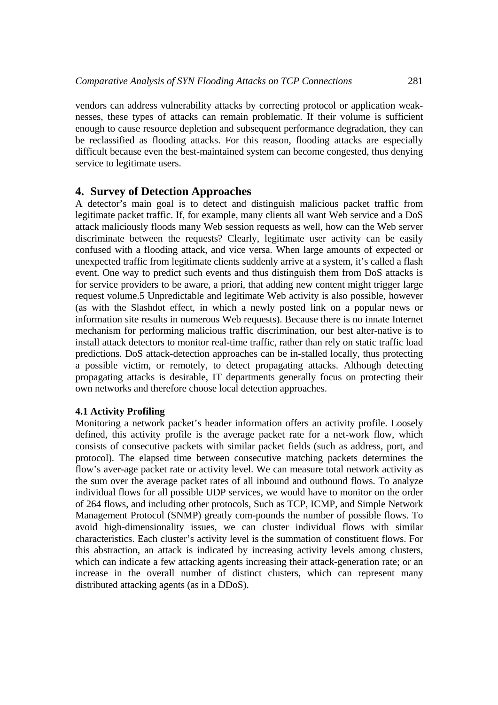vendors can address vulnerability attacks by correcting protocol or application weaknesses, these types of attacks can remain problematic. If their volume is sufficient enough to cause resource depletion and subsequent performance degradation, they can be reclassified as flooding attacks. For this reason, flooding attacks are especially difficult because even the best-maintained system can become congested, thus denying service to legitimate users.

## **4. Survey of Detection Approaches**

A detector's main goal is to detect and distinguish malicious packet traffic from legitimate packet traffic. If, for example, many clients all want Web service and a DoS attack maliciously floods many Web session requests as well, how can the Web server discriminate between the requests? Clearly, legitimate user activity can be easily confused with a flooding attack, and vice versa. When large amounts of expected or unexpected traffic from legitimate clients suddenly arrive at a system, it's called a flash event. One way to predict such events and thus distinguish them from DoS attacks is for service providers to be aware, a priori, that adding new content might trigger large request volume.5 Unpredictable and legitimate Web activity is also possible, however (as with the Slashdot effect, in which a newly posted link on a popular news or information site results in numerous Web requests). Because there is no innate Internet mechanism for performing malicious traffic discrimination, our best alter-native is to install attack detectors to monitor real-time traffic, rather than rely on static traffic load predictions. DoS attack-detection approaches can be in-stalled locally, thus protecting a possible victim, or remotely, to detect propagating attacks. Although detecting propagating attacks is desirable, IT departments generally focus on protecting their own networks and therefore choose local detection approaches.

## **4.1 Activity Profiling**

Monitoring a network packet's header information offers an activity profile. Loosely defined, this activity profile is the average packet rate for a net-work flow, which consists of consecutive packets with similar packet fields (such as address, port, and protocol). The elapsed time between consecutive matching packets determines the flow's aver-age packet rate or activity level. We can measure total network activity as the sum over the average packet rates of all inbound and outbound flows. To analyze individual flows for all possible UDP services, we would have to monitor on the order of 264 flows, and including other protocols, Such as TCP, ICMP, and Simple Network Management Protocol (SNMP) greatly com-pounds the number of possible flows. To avoid high-dimensionality issues, we can cluster individual flows with similar characteristics. Each cluster's activity level is the summation of constituent flows. For this abstraction, an attack is indicated by increasing activity levels among clusters, which can indicate a few attacking agents increasing their attack-generation rate; or an increase in the overall number of distinct clusters, which can represent many distributed attacking agents (as in a DDoS).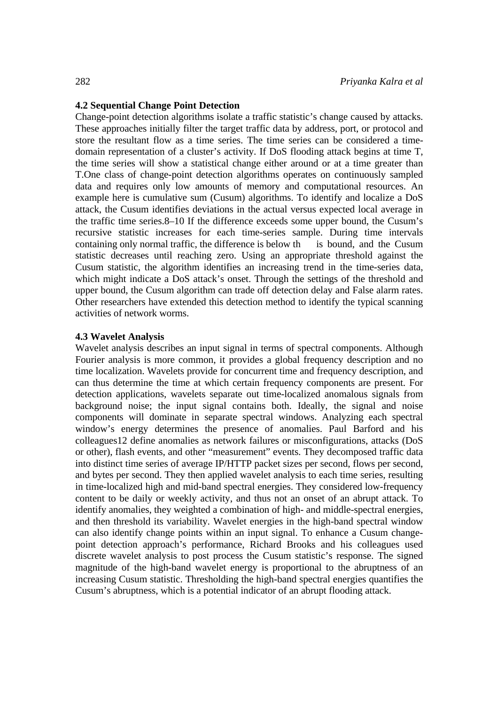### **4.2 Sequential Change Point Detection**

Change-point detection algorithms isolate a traffic statistic's change caused by attacks. These approaches initially filter the target traffic data by address, port, or protocol and store the resultant flow as a time series. The time series can be considered a timedomain representation of a cluster's activity. If DoS flooding attack begins at time T, the time series will show a statistical change either around or at a time greater than T.One class of change-point detection algorithms operates on continuously sampled data and requires only low amounts of memory and computational resources. An example here is cumulative sum (Cusum) algorithms. To identify and localize a DoS attack, the Cusum identifies deviations in the actual versus expected local average in the traffic time series.8–10 If the difference exceeds some upper bound, the Cusum's recursive statistic increases for each time-series sample. During time intervals containing only normal traffic, the difference is below th is bound, and the Cusum statistic decreases until reaching zero. Using an appropriate threshold against the Cusum statistic, the algorithm identifies an increasing trend in the time-series data, which might indicate a DoS attack's onset. Through the settings of the threshold and upper bound, the Cusum algorithm can trade off detection delay and False alarm rates. Other researchers have extended this detection method to identify the typical scanning activities of network worms.

#### **4.3 Wavelet Analysis**

Wavelet analysis describes an input signal in terms of spectral components. Although Fourier analysis is more common, it provides a global frequency description and no time localization. Wavelets provide for concurrent time and frequency description, and can thus determine the time at which certain frequency components are present. For detection applications, wavelets separate out time-localized anomalous signals from background noise; the input signal contains both. Ideally, the signal and noise components will dominate in separate spectral windows. Analyzing each spectral window's energy determines the presence of anomalies. Paul Barford and his colleagues12 define anomalies as network failures or misconfigurations, attacks (DoS or other), flash events, and other "measurement" events. They decomposed traffic data into distinct time series of average IP/HTTP packet sizes per second, flows per second, and bytes per second. They then applied wavelet analysis to each time series, resulting in time-localized high and mid-band spectral energies. They considered low-frequency content to be daily or weekly activity, and thus not an onset of an abrupt attack. To identify anomalies, they weighted a combination of high- and middle-spectral energies, and then threshold its variability. Wavelet energies in the high-band spectral window can also identify change points within an input signal. To enhance a Cusum changepoint detection approach's performance, Richard Brooks and his colleagues used discrete wavelet analysis to post process the Cusum statistic's response. The signed magnitude of the high-band wavelet energy is proportional to the abruptness of an increasing Cusum statistic. Thresholding the high-band spectral energies quantifies the Cusum's abruptness, which is a potential indicator of an abrupt flooding attack.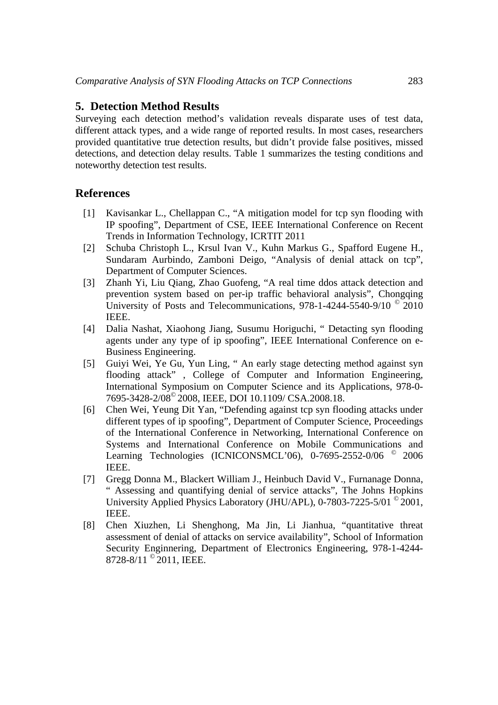# **5. Detection Method Results**

Surveying each detection method's validation reveals disparate uses of test data, different attack types, and a wide range of reported results. In most cases, researchers provided quantitative true detection results, but didn't provide false positives, missed detections, and detection delay results. Table 1 summarizes the testing conditions and noteworthy detection test results.

# **References**

- [1] Kavisankar L., Chellappan C., "A mitigation model for tcp syn flooding with IP spoofing", Department of CSE, IEEE International Conference on Recent Trends in Information Technology, ICRTIT 2011
- [2] Schuba Christoph L., Krsul Ivan V., Kuhn Markus G., Spafford Eugene H., Sundaram Aurbindo, Zamboni Deigo, "Analysis of denial attack on tcp", Department of Computer Sciences.
- [3] Zhanh Yi, Liu Qiang, Zhao Guofeng, "A real time ddos attack detection and prevention system based on per-ip traffic behavioral analysis", Chongqing University of Posts and Telecommunications, 978-1-4244-5540-9/10 © 2010 IEEE.
- [4] Dalia Nashat, Xiaohong Jiang, Susumu Horiguchi, " Detacting syn flooding agents under any type of ip spoofing", IEEE International Conference on e-Business Engineering.
- [5] Guiyi Wei, Ye Gu, Yun Ling, " An early stage detecting method against syn flooding attack" , College of Computer and Information Engineering, International Symposium on Computer Science and its Applications, 978-0- 7695-3428-2/08© 2008, IEEE, DOI 10.1109/ CSA.2008.18.
- [6] Chen Wei, Yeung Dit Yan, "Defending against tcp syn flooding attacks under different types of ip spoofing", Department of Computer Science, Proceedings of the International Conference in Networking, International Conference on Systems and International Conference on Mobile Communications and Learning Technologies (ICNICONSMCL'06), 0-7695-2552-0/06 <sup>©</sup> 2006 IEEE.
- [7] Gregg Donna M., Blackert William J., Heinbuch David V., Furnanage Donna, " Assessing and quantifying denial of service attacks", The Johns Hopkins University Applied Physics Laboratory (JHU/APL), 0-7803-7225-5/01 © 2001, IEEE.
- [8] Chen Xiuzhen, Li Shenghong, Ma Jin, Li Jianhua, "quantitative threat assessment of denial of attacks on service availability", School of Information Security Enginnering, Department of Electronics Engineering, 978-1-4244- 8728-8/11<sup>°</sup> 2011, IEEE.